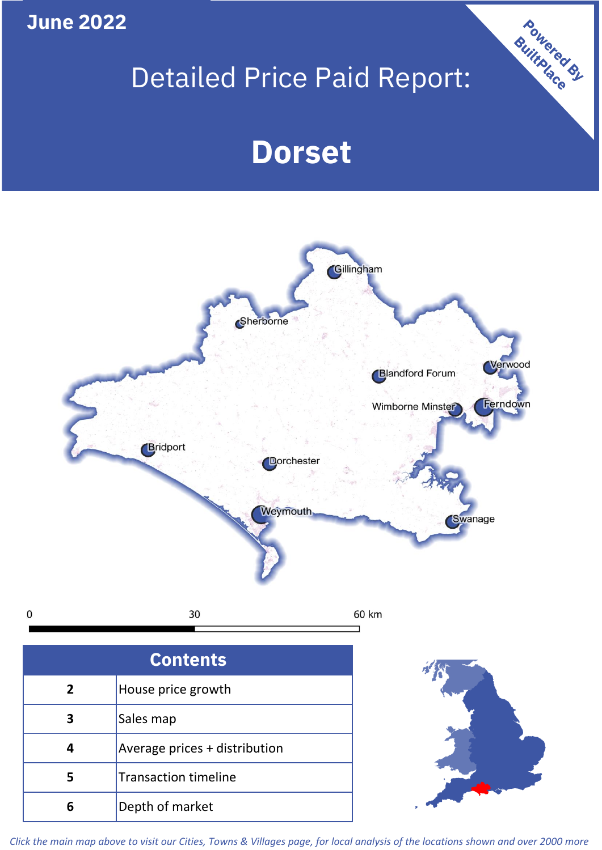**June 2022**

# Detailed Price Paid Report:

Powered By

# **Dorset**



*Click the main map above to visit our Cities, Towns & Villages page, for local analysis of the locations shown and over 2000 more*

**6** Depth of market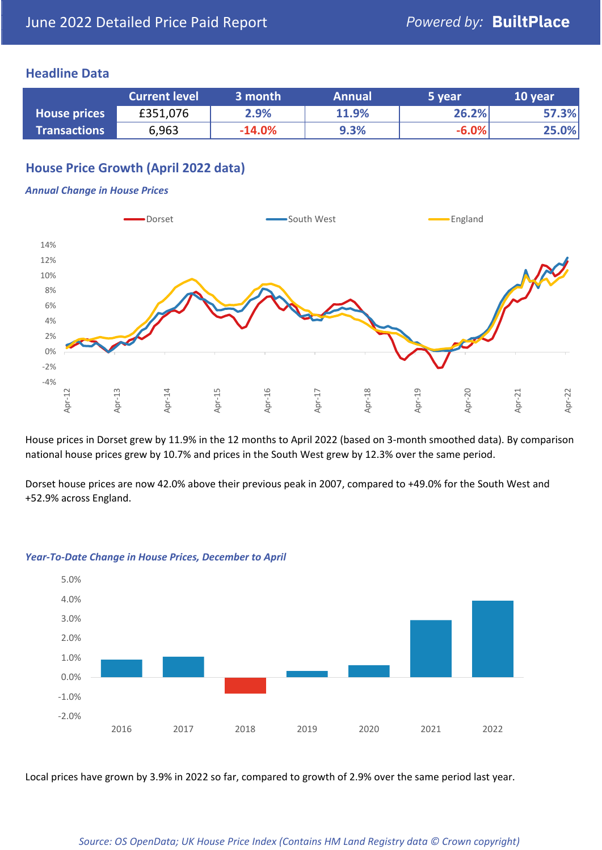### **Headline Data**

|                     | <b>Current level</b> | 3 month  | <b>Annual</b> | 5 year  | 10 year |
|---------------------|----------------------|----------|---------------|---------|---------|
| <b>House prices</b> | £351,076             | 2.9%     | 11.9%         | 26.2%   | 57.3%   |
| <b>Transactions</b> | 6,963                | $-14.0%$ | 9.3%          | $-6.0%$ | 25.0%   |

# **House Price Growth (April 2022 data)**

#### *Annual Change in House Prices*



House prices in Dorset grew by 11.9% in the 12 months to April 2022 (based on 3-month smoothed data). By comparison national house prices grew by 10.7% and prices in the South West grew by 12.3% over the same period.

Dorset house prices are now 42.0% above their previous peak in 2007, compared to +49.0% for the South West and +52.9% across England.



#### *Year-To-Date Change in House Prices, December to April*

Local prices have grown by 3.9% in 2022 so far, compared to growth of 2.9% over the same period last year.

#### *Source: OS OpenData; UK House Price Index (Contains HM Land Registry data © Crown copyright)*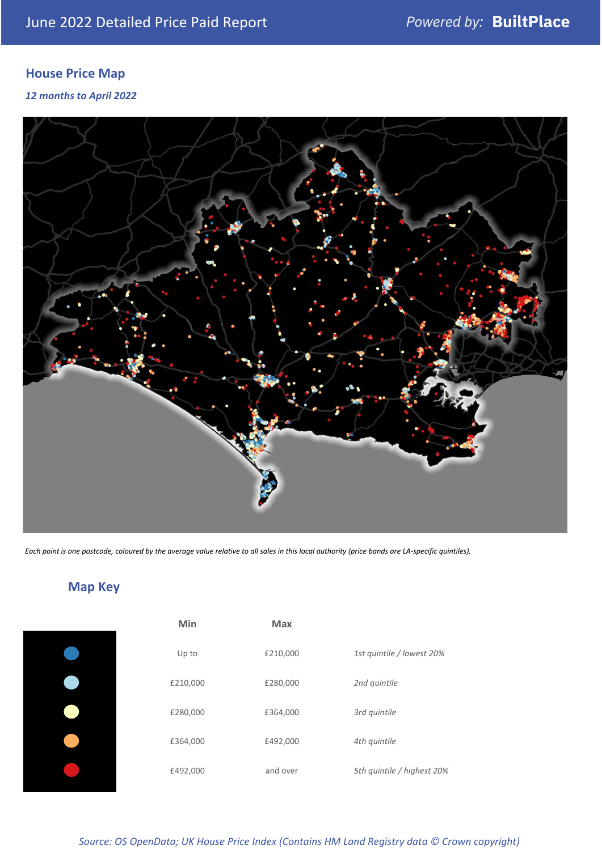# **House Price Map**

*12 months to April 2022*



*Each point is one postcode, coloured by the average value relative to all sales in this local authority (price bands are LA-specific quintiles).*



**Map Key**

| Min      | <b>Max</b> |                            |
|----------|------------|----------------------------|
| Up to    | £210,000   | 1st quintile / lowest 20%  |
| £210,000 | £280,000   | 2nd quintile               |
| £280,000 | £364,000   | 3rd quintile               |
| £364,000 | £492,000   | 4th quintile               |
| £492,000 | and over   | 5th quintile / highest 20% |

#### *Source: OS OpenData; UK House Price Index (Contains HM Land Registry data © Crown copyright)*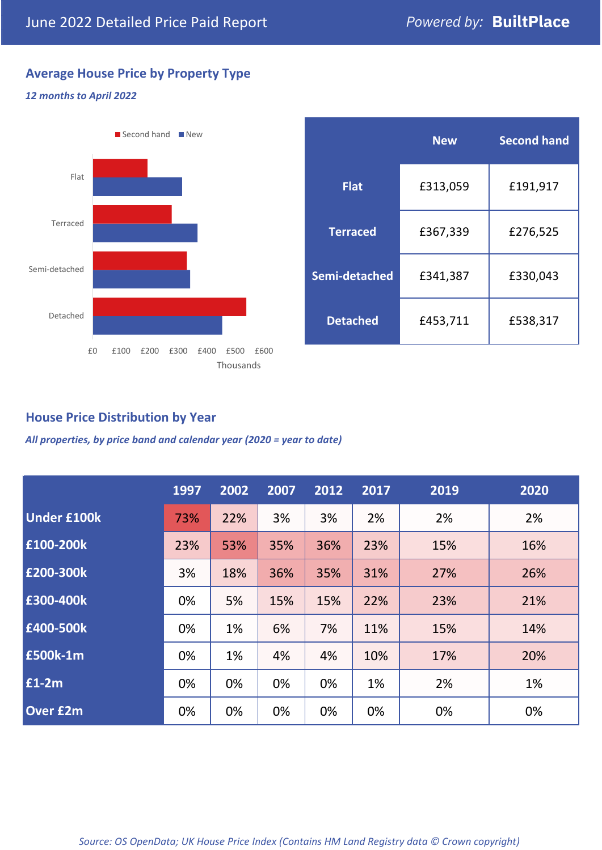# **Average House Price by Property Type**

#### *12 months to April 2022*



|                 | <b>New</b> | <b>Second hand</b> |  |
|-----------------|------------|--------------------|--|
| <b>Flat</b>     | £313,059   | £191,917           |  |
| <b>Terraced</b> | £367,339   | £276,525           |  |
| Semi-detached   | £341,387   | £330,043           |  |
| <b>Detached</b> | £453,711   | £538,317           |  |

## **House Price Distribution by Year**

*All properties, by price band and calendar year (2020 = year to date)*

|                    | 1997 | 2002 | 2007 | 2012 | 2017 | 2019 | 2020 |
|--------------------|------|------|------|------|------|------|------|
| <b>Under £100k</b> | 73%  | 22%  | 3%   | 3%   | 2%   | 2%   | 2%   |
| £100-200k          | 23%  | 53%  | 35%  | 36%  | 23%  | 15%  | 16%  |
| E200-300k          | 3%   | 18%  | 36%  | 35%  | 31%  | 27%  | 26%  |
| £300-400k          | 0%   | 5%   | 15%  | 15%  | 22%  | 23%  | 21%  |
| £400-500k          | 0%   | 1%   | 6%   | 7%   | 11%  | 15%  | 14%  |
| £500k-1m           | 0%   | 1%   | 4%   | 4%   | 10%  | 17%  | 20%  |
| £1-2m              | 0%   | 0%   | 0%   | 0%   | 1%   | 2%   | 1%   |
| <b>Over £2m</b>    | 0%   | 0%   | 0%   | 0%   | 0%   | 0%   | 0%   |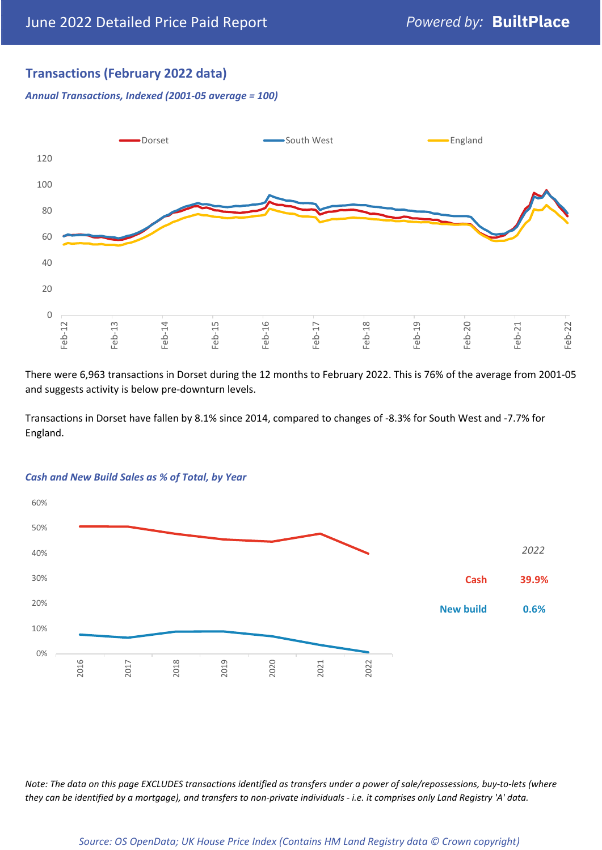## **Transactions (February 2022 data)**

*Annual Transactions, Indexed (2001-05 average = 100)*



There were 6,963 transactions in Dorset during the 12 months to February 2022. This is 76% of the average from 2001-05 and suggests activity is below pre-downturn levels.

Transactions in Dorset have fallen by 8.1% since 2014, compared to changes of -8.3% for South West and -7.7% for England.



#### *Cash and New Build Sales as % of Total, by Year*

*Note: The data on this page EXCLUDES transactions identified as transfers under a power of sale/repossessions, buy-to-lets (where they can be identified by a mortgage), and transfers to non-private individuals - i.e. it comprises only Land Registry 'A' data.*